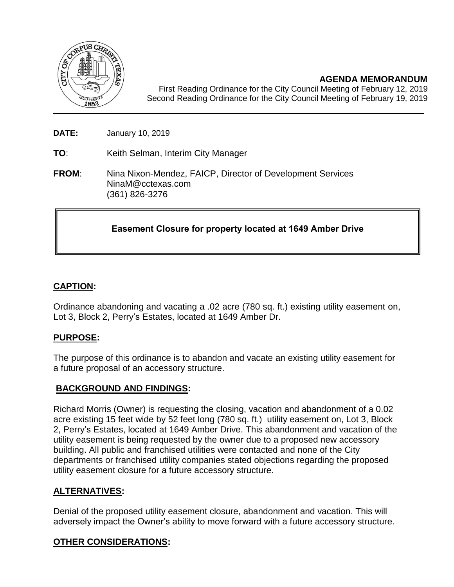

**AGENDA MEMORANDUM**

First Reading Ordinance for the City Council Meeting of February 12, 2019 Second Reading Ordinance for the City Council Meeting of February 19, 2019

**DATE:** January 10, 2019

**TO**: Keith Selman, Interim City Manager

**FROM**: Nina Nixon-Mendez, FAICP, Director of Development Services NinaM@cctexas.com (361) 826-3276

# **Easement Closure for property located at 1649 Amber Drive**

## **CAPTION:**

Ordinance abandoning and vacating a .02 acre (780 sq. ft.) existing utility easement on, Lot 3, Block 2, Perry's Estates, located at 1649 Amber Dr.

### **PURPOSE:**

The purpose of this ordinance is to abandon and vacate an existing utility easement for a future proposal of an accessory structure.

### **BACKGROUND AND FINDINGS:**

Richard Morris (Owner) is requesting the closing, vacation and abandonment of a 0.02 acre existing 15 feet wide by 52 feet long (780 sq. ft.) utility easement on, Lot 3, Block 2, Perry's Estates, located at 1649 Amber Drive. This abandonment and vacation of the utility easement is being requested by the owner due to a proposed new accessory building. All public and franchised utilities were contacted and none of the City departments or franchised utility companies stated objections regarding the proposed utility easement closure for a future accessory structure.

### **ALTERNATIVES:**

Denial of the proposed utility easement closure, abandonment and vacation. This will adversely impact the Owner's ability to move forward with a future accessory structure.

### **OTHER CONSIDERATIONS:**